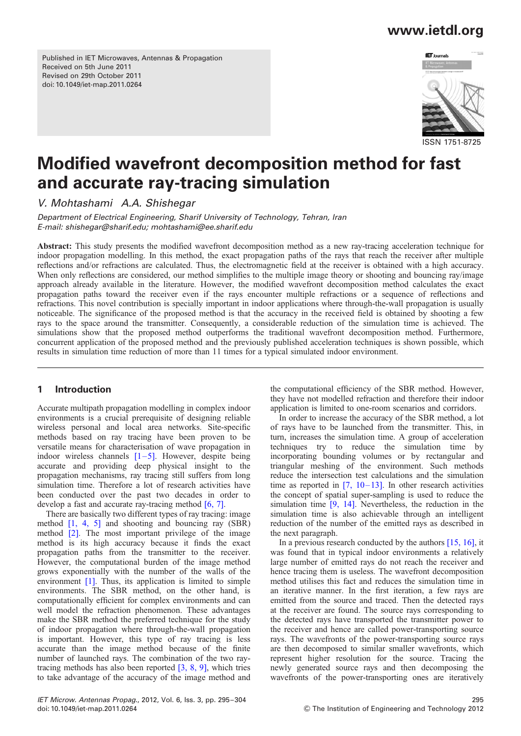Published in IET Microwaves, Antennas & Propagation Received on 5th June 2011 Revised on 29th October 2011 doi: 10.1049/iet-map.2011.0264



# Modified wavefront decomposition method for fast and accurate ray-tracing simulation

V. Mohtashami A.A. Shishegar

Department of Electrical Engineering, Sharif University of Technology, Tehran, Iran E-mail: shishegar@sharif.edu; mohtashami@ee.sharif.edu

Abstract: This study presents the modified wavefront decomposition method as a new ray-tracing acceleration technique for indoor propagation modelling. In this method, the exact propagation paths of the rays that reach the receiver after multiple reflections and/or refractions are calculated. Thus, the electromagnetic field at the receiver is obtained with a high accuracy. When only reflections are considered, our method simplifies to the multiple image theory or shooting and bouncing ray/image approach already available in the literature. However, the modified wavefront decomposition method calculates the exact propagation paths toward the receiver even if the rays encounter multiple refractions or a sequence of reflections and refractions. This novel contribution is specially important in indoor applications where through-the-wall propagation is usually noticeable. The significance of the proposed method is that the accuracy in the received field is obtained by shooting a few rays to the space around the transmitter. Consequently, a considerable reduction of the simulation time is achieved. The simulations show that the proposed method outperforms the traditional wavefront decomposition method. Furthermore, concurrent application of the proposed method and the previously published acceleration techniques is shown possible, which results in simulation time reduction of more than 11 times for a typical simulated indoor environment.

## 1 Introduction

Accurate multipath propagation modelling in complex indoor environments is a crucial prerequisite of designing reliable wireless personal and local area networks. Site-specific methods based on ray tracing have been proven to be versatile means for characterisation of wave propagation in indoor wireless channels  $[1-5]$ . However, despite being accurate and providing deep physical insight to the propagation mechanisms, ray tracing still suffers from long simulation time. Therefore a lot of research activities have been conducted over the past two decades in order to develop a fast and accurate ray-tracing method [6, 7].

There are basically two different types of ray tracing: image method [1, 4, 5] and shooting and bouncing ray (SBR) method [2]. The most important privilege of the image method is its high accuracy because it finds the exact propagation paths from the transmitter to the receiver. However, the computational burden of the image method grows exponentially with the number of the walls of the environment [1]. Thus, its application is limited to simple environments. The SBR method, on the other hand, is computationally efficient for complex environments and can well model the refraction phenomenon. These advantages make the SBR method the preferred technique for the study of indoor propagation where through-the-wall propagation is important. However, this type of ray tracing is less accurate than the image method because of the finite number of launched rays. The combination of the two raytracing methods has also been reported [3, 8, 9], which tries to take advantage of the accuracy of the image method and the computational efficiency of the SBR method. However, they have not modelled refraction and therefore their indoor application is limited to one-room scenarios and corridors.

In order to increase the accuracy of the SBR method, a lot of rays have to be launched from the transmitter. This, in turn, increases the simulation time. A group of acceleration techniques try to reduce the simulation time by incorporating bounding volumes or by rectangular and triangular meshing of the environment. Such methods reduce the intersection test calculations and the simulation time as reported in  $[7, 10-13]$ . In other research activities the concept of spatial super-sampling is used to reduce the simulation time [9, 14]. Nevertheless, the reduction in the simulation time is also achievable through an intelligent reduction of the number of the emitted rays as described in the next paragraph.

In a previous research conducted by the authors  $[15, 16]$ , it was found that in typical indoor environments a relatively large number of emitted rays do not reach the receiver and hence tracing them is useless. The wavefront decomposition method utilises this fact and reduces the simulation time in an iterative manner. In the first iteration, a few rays are emitted from the source and traced. Then the detected rays at the receiver are found. The source rays corresponding to the detected rays have transported the transmitter power to the receiver and hence are called power-transporting source rays. The wavefronts of the power-transporting source rays are then decomposed to similar smaller wavefronts, which represent higher resolution for the source. Tracing the newly generated source rays and then decomposing the wavefronts of the power-transporting ones are iteratively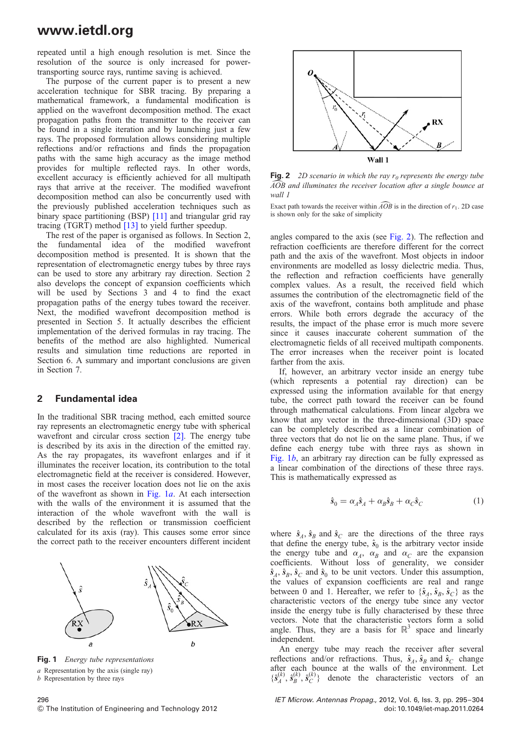repeated until a high enough resolution is met. Since the resolution of the source is only increased for powertransporting source rays, runtime saving is achieved.

The purpose of the current paper is to present a new acceleration technique for SBR tracing. By preparing a mathematical framework, a fundamental modification is applied on the wavefront decomposition method. The exact propagation paths from the transmitter to the receiver can be found in a single iteration and by launching just a few rays. The proposed formulation allows considering multiple reflections and/or refractions and finds the propagation paths with the same high accuracy as the image method provides for multiple reflected rays. In other words, excellent accuracy is efficiently achieved for all multipath rays that arrive at the receiver. The modified wavefront decomposition method can also be concurrently used with the previously published acceleration techniques such as binary space partitioning (BSP) [11] and triangular grid ray tracing (TGRT) method [13] to yield further speedup.

The rest of the paper is organised as follows. In Section 2, the fundamental idea of the modified wavefront decomposition method is presented. It is shown that the representation of electromagnetic energy tubes by three rays can be used to store any arbitrary ray direction. Section 2 also develops the concept of expansion coefficients which will be used by Sections 3 and 4 to find the exact propagation paths of the energy tubes toward the receiver. Next, the modified wavefront decomposition method is presented in Section 5. It actually describes the efficient implementation of the derived formulas in ray tracing. The benefits of the method are also highlighted. Numerical results and simulation time reductions are reported in Section 6. A summary and important conclusions are given in Section 7.

### 2 Fundamental idea

In the traditional SBR tracing method, each emitted source ray represents an electromagnetic energy tube with spherical wavefront and circular cross section [2]. The energy tube is described by its axis in the direction of the emitted ray. As the ray propagates, its wavefront enlarges and if it illuminates the receiver location, its contribution to the total electromagnetic field at the receiver is considered. However, in most cases the receiver location does not lie on the axis of the wavefront as shown in Fig. 1a. At each intersection with the walls of the environment it is assumed that the interaction of the whole wavefront with the wall is described by the reflection or transmission coefficient calculated for its axis (ray). This causes some error since the correct path to the receiver encounters different incident







**Fig. 2** 2D scenario in which the ray  $r_0$  represents the energy tube  $AOB$  and illuminates the receiver location after a single bounce at  $AOB$ wall 1

Exact path towards the receiver within  $AOB$  is in the direction of  $r_1$ . 2D case is shown only for the sake of simplicity

angles compared to the axis (see Fig. 2). The reflection and refraction coefficients are therefore different for the correct path and the axis of the wavefront. Most objects in indoor environments are modelled as lossy dielectric media. Thus, the reflection and refraction coefficients have generally complex values. As a result, the received field which assumes the contribution of the electromagnetic field of the axis of the wavefront, contains both amplitude and phase errors. While both errors degrade the accuracy of the results, the impact of the phase error is much more severe since it causes inaccurate coherent summation of the electromagnetic fields of all received multipath components. The error increases when the receiver point is located farther from the axis.

If, however, an arbitrary vector inside an energy tube (which represents a potential ray direction) can be expressed using the information available for that energy tube, the correct path toward the receiver can be found through mathematical calculations. From linear algebra we know that any vector in the three-dimensional (3D) space can be completely described as a linear combination of three vectors that do not lie on the same plane. Thus, if we define each energy tube with three rays as shown in Fig. 1b, an arbitrary ray direction can be fully expressed as a linear combination of the directions of these three rays. This is mathematically expressed as

$$
\hat{\mathbf{s}}_0 = \alpha_A \hat{\mathbf{s}}_A + \alpha_B \hat{\mathbf{s}}_B + \alpha_C \hat{\mathbf{s}}_C \tag{1}
$$

where  $\hat{s}_A$ ,  $\hat{s}_B$  and  $\hat{s}_C$  are the directions of the three rays that define the energy tube,  $\hat{s}_0$  is the arbitrary vector inside the energy tube and  $\alpha_A$ ,  $\alpha_B$  and  $\alpha_C$  are the expansion coefficients. Without loss of generality, we consider  $\hat{s}_A$ ,  $\hat{s}_B$ ,  $\hat{s}_C$  and  $\hat{s}_0$  to be unit vectors. Under this assumption, the values of expansion coefficients are real and range between 0 and 1. Hereafter, we refer to  $\{\hat{\mathbf{s}}_A, \hat{\mathbf{s}}_B, \hat{\mathbf{s}}_C\}$  as the characteristic vectors of the energy tube since any vector inside the energy tube is fully characterised by these three vectors. Note that the characteristic vectors form a solid angle. Thus, they are a basis for  $\mathbb{R}^3$  space and linearly independent.

An energy tube may reach the receiver after several reflections and/or refractions. Thus,  $\hat{s}_A$ ,  $\hat{s}_B$  and  $\hat{s}_C$  change after each bounce at the walls of the environment. Let  $\{\hat{s}_A^{(k)}, \hat{s}_B^{(k)}, \hat{s}_C^{(k)}\}$  denote the characteristic vectors of an

296 IET Microw. Antennas Propag., 2012, Vol. 6, Iss. 3, pp. 295–304 & The Institution of Engineering and Technology 2012 doi: 10.1049/iet-map.2011.0264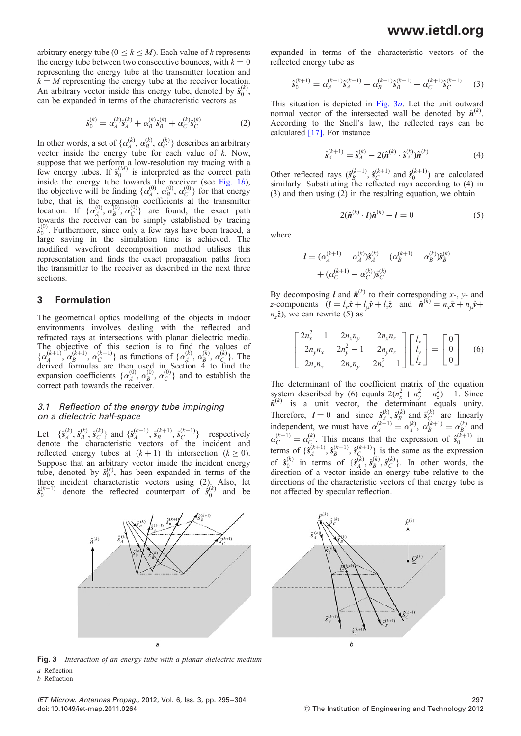arbitrary energy tube ( $0 \le k \le M$ ). Each value of k represents the energy tube between two consecutive bounces, with  $k = 0$ representing the energy tube at the transmitter location and  $k = M$  representing the energy tube at the receiver location. An arbitrary vector inside this energy tube, denoted by  $\hat{s}_0^{(k)}$ , can be expanded in terms of the characteristic vectors as

$$
\hat{\mathbf{s}}_0^{(k)} = \alpha_A^{(k)} \hat{\mathbf{s}}_A^{(k)} + \alpha_B^{(k)} \hat{\mathbf{s}}_B^{(k)} + \alpha_C^{(k)} \hat{\mathbf{s}}_C^{(k)} \tag{2}
$$

In other words, a set of  $\{\alpha_A^{(k)}, \alpha_B^{(k)}, \alpha_C^{(k)}\}$  describes an arbitrary vector inside the energy tube for each value of  $k$ . Now, suppose that we perform a low-resolution ray tracing with a few energy tubes. If  $\hat{s}_0^{(M)}$  is interpreted as the correct path inside the energy tube towards the receiver (see Fig.  $1b$ ), the objective will be finding  $\{\alpha_A^{(0)}, \alpha_B^{(0)}, \alpha_C^{(0)}\}$  for that energy tube, that is, the expansion coefficients at the transmitter location. If  $\{\alpha_A^{(0)}, \alpha_B^{(0)}, \alpha_C^{(0)}\}$  are found, the exact path towards the receiver can be simply established by tracing  $\hat{s}_0^{(0)}$ . Furthermore, since only a few rays have been traced, a large saving in the simulation time is achieved. The modified wavefront decomposition method utilises this representation and finds the exact propagation paths from the transmitter to the receiver as described in the next three sections.

## 3 Formulation

The geometrical optics modelling of the objects in indoor environments involves dealing with the reflected and refracted rays at intersections with planar dielectric media. The objective of this section is to find the values of  $\{\alpha_A^{(k+1)}, \alpha_B^{(k+1)}, \alpha_C^{(k+1)}\}$  as functions of  $\{\alpha_A^{(k)}, \alpha_B^{(k)}, \alpha_C^{(k)}\}$ . The derived formulas are then used in Section 4 to find the expansion coefficients  $\{\alpha_A^{(0)}, \alpha_B^{(0)}, \alpha_C^{(0)}\}$  and to establish the correct path towards the receiver.

### 3.1 Reflection of the energy tube impinging on a dielectric half-space

Let  $\{\hat{s}_A^{(k)}, \hat{s}_B^{(k)}, \hat{s}_C^{(k)}\}$  and  $\{\hat{s}_A^{(k+1)}, \hat{s}_B^{(k+1)}, \hat{s}_C^{(k+1)}\}$  respectively denote the characteristic vectors of the incident and reflected energy tubes at  $(k+1)$  th intersection  $(k \ge 0)$ . Suppose that an arbitrary vector inside the incident energy tube, denoted by  $\hat{s}_0^{(k)}$ , has been expanded in terms of the three incident characteristic vectors using  $(2)$ . Also, let  $\hat{s}_0^{(k+1)}$  denote the reflected counterpart of  $\hat{s}_0^{(k)}$  and be



Fig. 3 Interaction of an energy tube with a planar dielectric medium a Reflection b Refraction

expanded in terms of the characteristic vectors of the reflected energy tube as

$$
\hat{\mathbf{s}}_0^{(k+1)} = \alpha_A^{(k+1)} \hat{\mathbf{s}}_A^{(k+1)} + \alpha_B^{(k+1)} \hat{\mathbf{s}}_B^{(k+1)} + \alpha_C^{(k+1)} \hat{\mathbf{s}}_C^{(k+1)} \tag{3}
$$

This situation is depicted in Fig.  $3a$ . Let the unit outward normal vector of the intersected wall be denoted by  $\hat{\boldsymbol{n}}^{(k)}$ . According to the Snell's law, the reflected rays can be calculated [17]. For instance

$$
\hat{\mathbf{s}}_A^{(k+1)} = \hat{\mathbf{s}}_A^{(k)} - 2(\hat{\mathbf{n}}^{(k)} \cdot \hat{\mathbf{s}}_A^{(k)})\hat{\mathbf{n}}^{(k)}
$$
(4)

Other reflected rays  $(\hat{s}_B^{(k+1)}, \hat{s}_C^{(k+1)})$  and  $\hat{s}_0^{(k+1)}$  are calculated similarly. Substituting the reflected rays according to (4) in (3) and then using (2) in the resulting equation, we obtain

$$
2(\hat{\boldsymbol{n}}^{(k)} \cdot \boldsymbol{l})\hat{\boldsymbol{n}}^{(k)} - \boldsymbol{l} = 0 \tag{5}
$$

where

$$
I = (\alpha_A^{(k+1)} - \alpha_A^{(k)})\hat{\mathbf{s}}_A^{(k)} + (\alpha_B^{(k+1)} - \alpha_B^{(k)})\hat{\mathbf{s}}_B^{(k)}
$$

$$
+ (\alpha_C^{(k+1)} - \alpha_C^{(k)})\hat{\mathbf{s}}_C^{(k)}
$$

By decomposing *l* and  $\hat{\boldsymbol{n}}^{(k)}$  to their corresponding *x*-, *y*- and z-components  $(l = l_x \hat{x} + l_y \hat{y} + l_z \hat{z}$  and  $\hat{n}^{(k)} = n_x \hat{x} + n_y \hat{y} +$  $n_2\hat{z}$ ), we can rewrite (5) as

$$
\begin{bmatrix} 2n_x^2 - 1 & 2n_x n_y & 2n_x n_z \\ 2n_y n_x & 2n_y^2 - 1 & 2n_y n_z \\ 2n_z n_x & 2n_z n_y & 2n_z^2 - 1 \end{bmatrix} \begin{bmatrix} l_x \\ l_y \\ l_z \end{bmatrix} = \begin{bmatrix} 0 \\ 0 \\ 0 \end{bmatrix}
$$
 (6)

The determinant of the coefficient matrix of the equation system described by (6) equals  $2(n_x^2 + n_y^2 + n_z^2) - 1$ . Since  $\hat{\mathbf{n}}^{(k)}$  is a unit vector, the determinant equals unity. Therefore,  $l = 0$  and since  $\hat{s}_A^{(k)}$ ,  $\hat{s}_B^{(k)}$  and  $\hat{s}_C^{(k)}$  are linearly independent, we must have  $\alpha_A^{(k+1)} = \alpha_A^{(k)}$ ,  $\alpha_B^{(k+1)} = \alpha_B^{(k)}$  and  $\alpha_C^{(k+1)} = \alpha_C^{(k)}$ . This means that the expression of  $\hat{s}_0^{(k+1)}$  in terms of  $\{\hat{\mathbf{s}}_A^{(k+1)}, \hat{\mathbf{s}}_B^{(k+1)}, \hat{\mathbf{s}}_C^{(k+1)}\}$  is the same as the expression of  $\hat{s}_0^{(k)}$  in terms of  $\{\hat{s}_A^{(k)}, \hat{s}_B^{(k)}, \hat{s}_C^{(k)}\}$ . In other words, the direction of a vector inside an energy tube relative to the directions of the characteristic vectors of that energy tube is not affected by specular reflection.

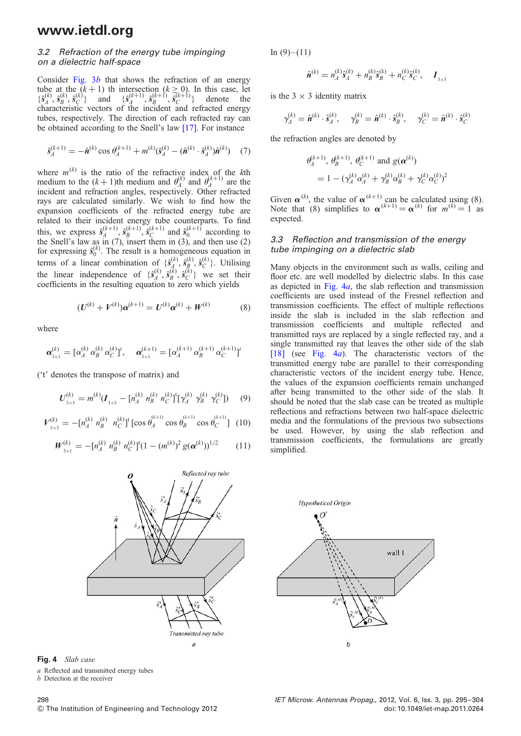### 3.2 Refraction of the energy tube impinging on a dielectric half-space

Consider Fig.  $3b$  that shows the refraction of an energy tube at the  $(k + 1)$  th intersection  $(k \ge 0)$ . In this case, let  $\{\hat{s}_A^{(k)}, \hat{s}_B^{(k)}, \hat{s}_C^{(k)}\}$  and  $\{\hat{s}_A^{(k+1)}, \hat{s}_B^{(k+1)}, \hat{s}_C^{(k+1)}\}$  denote the characteristic vectors of the incident and refracted energy tubes, respectively. The direction of each refracted ray can be obtained according to the Snell's law [17]. For instance

$$
\hat{\mathbf{s}}_A^{(k+1)} = -\hat{\mathbf{n}}^{(k)} \cos \theta_A^{(k+1)} + m^{(k)} (\hat{\mathbf{s}}_A^{(k)} - (\hat{\mathbf{n}}^{(k)} \cdot \hat{\mathbf{s}}_A^{(k)}) \hat{\mathbf{n}}^{(k)}) \quad (7)
$$

where  $m^{(k)}$  is the ratio of the refractive index of the kth medium to the  $(k+1)$ th medium and  $\theta_4^{(k)}$  and  $\theta_4^{(k+1)}$  are the incident and refraction angles, respectively. Other refracted rays are calculated similarly. We wish to find how the expansion coefficients of the refracted energy tube are related to their incident energy tube counterparts. To find this, we express  $\hat{s}_A^{(k+1)}$ ,  $\hat{s}_B^{(k+1)}$ ,  $\hat{s}_C^{(k+1)}$  and  $\hat{s}_0^{(k+1)}$  according to the Snell's law as in  $(7)$ , insert them in  $(3)$ , and then use  $(2)$ for expressing  $\hat{s}_0^{(k)}$ . The result is a homogeneous equation in terms of a linear combination of  $\{\hat{s}_A^{(k)}, \hat{s}_B^{(k)}, \hat{s}_C^{(k)}\}$ . Utilising the linear independence of  $\{\hat{s}_A^{(k)}, \hat{s}_B^{(k)}, \hat{s}_C^{(k)}\}$  we set their coefficients in the resulting equation to zero which yields

$$
(U^{(k)} + V^{(k)})\alpha^{(k+1)} = U^{(k)}\alpha^{(k)} + W^{(k)}
$$
(8)

where

$$
\boldsymbol{\alpha}_{3\times 1}^{(k)} = [\alpha_A^{(k)} \alpha_B^{(k)} \alpha_C^{(k)}]^t, \quad \boldsymbol{\alpha}_{3\times 1}^{(k+1)} = [\alpha_A^{(k+1)} \alpha_B^{(k+1)} \alpha_C^{(k+1)}]^t
$$

('t' denotes the transpose of matrix) and

$$
U_{3\times 3}^{(k)} = m^{(k)}(I_{3\times 3} - [n_A^{(k)} n_B^{(k)} n_C^{(k)}]^{\dagger} [\gamma_A^{(k)} \gamma_B^{(k)} \gamma_C^{(k)}]) \quad (9)
$$

$$
V_{3\times 3}^{(k)} = -\left[n_A^{(k)} \; n_B^{(k)} \; n_C^{(k)}\right]^{\dagger} \left[\cos \theta_A^{(k+1)} \cos \theta_B^{(k+1)} \cos \theta_C^{(k+1)}\right] \tag{10}
$$

$$
W_{3\times 1}^{(k)} = -\left[n_A^{(k)}\;n_B^{(k)}\;n_C^{(k)}\right]^{\dagger}\left(1 - \left(m^{(k)}\right)^2\right)g(\boldsymbol{\alpha}^{(k)})\right)^{1/2} \tag{11}
$$



Fig. 4 Slab case

a Reflected and transmitted energy tubes b Detection at the receiver

In  $(9)$  –  $(11)$ 

$$
\hat{\boldsymbol{n}}^{(k)} = n_A^{(k)} \hat{\mathbf{s}}_A^{(k)} + n_B^{(k)} \hat{\mathbf{s}}_B^{(k)} + n_C^{(k)} \hat{\mathbf{s}}_C^{(k)}, \quad \mathbf{I}_{3 \times 3}
$$

is the  $3 \times 3$  identity matrix

$$
\gamma_A^{(k)} = \hat{\boldsymbol{n}}^{(k)} \cdot \hat{\mathbf{s}}_A^{(k)}, \quad \gamma_B^{(k)} = \hat{\boldsymbol{n}}^{(k)} \cdot \hat{\mathbf{s}}_B^{(k)}, \quad \gamma_C^{(k)} = \hat{\boldsymbol{n}}^{(k)} \cdot \hat{\mathbf{s}}_C^{(k)}
$$

the refraction angles are denoted by

$$
\theta_A^{(k+1)}, \theta_B^{(k+1)}, \theta_C^{(k+1)} \text{ and } g(\mathbf{\alpha}^{(k)})
$$
  
=  $1 - (\gamma_A^{(k)} \alpha_A^{(k)} + \gamma_B^{(k)} \alpha_B^{(k)} + \gamma_C^{(k)} \alpha_C^{(k)})^2$ 

Given  $\alpha^{(k)}$ , the value of  $\alpha^{(k+1)}$  can be calculated using (8). Note that (8) simplifies to  $\alpha^{(k+1)} = \alpha^{(k)}$  for  $m^{(k)} = 1$  as expected.

### 3.3 Reflection and transmission of the energy tube impinging on a dielectric slab

Many objects in the environment such as walls, ceiling and floor etc. are well modelled by dielectric slabs. In this case as depicted in Fig. 4a, the slab reflection and transmission coefficients are used instead of the Fresnel reflection and transmission coefficients. The effect of multiple reflections inside the slab is included in the slab reflection and transmission coefficients and multiple reflected and transmitted rays are replaced by a single reflected ray, and a single transmitted ray that leaves the other side of the slab [18] (see Fig. 4a). The characteristic vectors of the transmitted energy tube are parallel to their corresponding characteristic vectors of the incident energy tube. Hence, the values of the expansion coefficients remain unchanged after being transmitted to the other side of the slab. It should be noted that the slab case can be treated as multiple reflections and refractions between two half-space dielectric media and the formulations of the previous two subsections be used. However, by using the slab reflection and transmission coefficients, the formulations are greatly simplified.

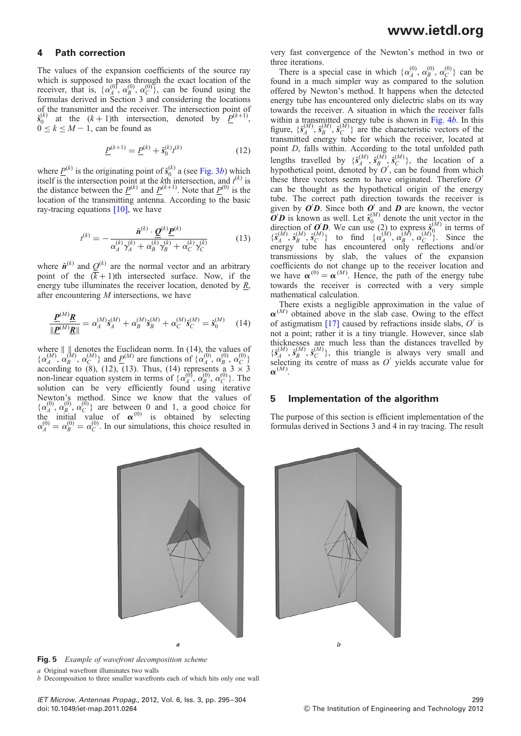## 4 Path correction

The values of the expansion coefficients of the source ray which is supposed to pass through the exact location of the receiver, that is,  $\{\alpha_A^{(0)}, \alpha_B^{(0)}, \alpha_C^{(0)}\}$ , can be found using the formulas derived in Section 3 and considering the locations of the transmitter and the receiver. The intersection point of  $\hat{\mathbf{s}}_0^{(k)}$  at the  $(k+1)$ th intersection, denoted by  $\underline{P}^{(k+1)}$ ,  $0 \leq k \leq M - 1$ , can be found as

$$
\underline{P}^{(k+1)} = \underline{P}^{(k)} + \hat{\mathbf{s}}_0^{(k)} t^{(k)} \tag{12}
$$

where  $\underline{P}^{(k)}$  is the originating point of  $\hat{\mathfrak{s}}_0^{(k)}$  a (see Fig. 3b) which itself is the intersection point at the k<sup>th</sup> intersection, and  $t^{(k)}$  is the distance between the  $\underline{P}^{(k)}$  and  $\underline{P}^{(k+1)}$ . Note that  $\underline{P}^{(0)}$  is the location of the transmitting antenna. According to the basic ray-tracing equations  $[10]$ , we have

$$
t^{(k)} = -\frac{\hat{\boldsymbol{n}}^{(k)} \cdot \underline{\boldsymbol{Q}}^{(k)} \underline{\boldsymbol{P}}^{(k)}}{\alpha_A^{(k)} \gamma_A^{(k)} + \alpha_B^{(k)} \gamma_B^{(k)} + \alpha_C^{(k)} \gamma_C^{(k)}}
$$
(13)

where  $\hat{\boldsymbol{n}}^{(k)}$  and  $Q^{(k)}$  are the normal vector and an arbitrary point of the  $(\overline{k} + 1)$ th intersected surface. Now, if the energy tube illuminates the receiver location, denoted by  $R$ , after encountering M intersections, we have

$$
\frac{\underline{P}^{(M)}\underline{R}}{\|\underline{P}^{(M)}\underline{R}\|} = \alpha_A^{(M)}\hat{s}_A^{(M)} + \alpha_B^{(M)}\hat{s}_B^{(M)} + \alpha_C^{(M)}\hat{s}_C^{(M)} = \hat{s}_0^{(M)} \quad (14)
$$

where  $\| \dots \|$  denotes the Euclidean norm. In (14), the values of  $\{\alpha_A^{(M)}, \alpha_B^{(M)}, \alpha_C^{(M)}\}$  and  $\underline{P}^{(M)}$  are functions of  $\{\alpha_A^{(0)}, \alpha_B^{(0)}, \alpha_C^{(0)}\}$ according to (8), (12), (13). Thus, (14) represents a  $3 \times 3$  non-linear equation system in terms of  $\{\alpha_A^{(0)}, \alpha_B^{(0)}, \alpha_C^{(0)}\}$ . The solution can be very efficiently found using iterative Newton's method. Since we know that the values of  $\{\alpha_A^{(0)}, \alpha_B^{(0)}, \alpha_C^{(0)}\}$  are between 0 and 1, a good choice for the initial value of  $\alpha^{(0)}$  is obtained by selecting  $\alpha_A^{(0)} = \alpha_B^{(0)} = \alpha_C^{(0)}$ . In our simulations, this choice resulted in

 $\overline{a}$ 



## www.ietdl.org

very fast convergence of the Newton's method in two or three iterations.

There is a special case in which  $\{\alpha_A^{(0)}, \alpha_B^{(0)}, \alpha_C^{(0)}\}$  can be found in a much simpler way as compared to the solution offered by Newton's method. It happens when the detected energy tube has encountered only dielectric slabs on its way towards the receiver. A situation in which the receiver falls within a transmitted energy tube is shown in Fig.  $4b$ . In this figure,  $\{\hat{s}_A^{(M)}, \hat{s}_B^{(M)}, \hat{s}_C^{(M)}\}$  are the characteristic vectors of the transmitted energy tube for which the receiver, located at point D, falls within. According to the total unfolded path lengths travelled by  $\{\hat{s}_A^{(M)}, \hat{s}_B^{(M)}, \hat{s}_C^{(M)}\}$ , the location of a hypothetical point, denoted by  $O'$ , can be found from which these three vectors seem to have originated. Therefore  $O'$ can be thought as the hypothetical origin of the energy tube. The correct path direction towards the receiver is given by  $O'D$ . Since both  $O'$  and  $D$  are known, the vector  $\overline{O}'$ D is known as well. Let  $\hat{s}_0^{(M)}$  denote the unit vector in the direction of  $O'D$ . We can use (2) to express  $\hat{\mathcal{S}}_0^{(M)}$  in terms of  $\{\hat{s}_A^{(M)}, \hat{s}_B^{(M)}, \hat{s}_C^{(M)}\}$  to find  $\{\alpha_A^{(M)}, \alpha_B^{(M)}, \alpha_C^{(M)}\}$ . Since the energy tube has encountered only reflections and/or transmissions by slab, the values of the expansion coefficients do not change up to the receiver location and we have  $\alpha^{(0)} = \alpha^{(M)}$ . Hence, the path of the energy tube towards the receiver is corrected with a very simple mathematical calculation.

There exists a negligible approximation in the value of  $\alpha^{(M)}$  obtained above in the slab case. Owing to the effect of astigmatism [17] caused by refractions inside slabs,  $O'$  is not a point; rather it is a tiny triangle. However, since slab thicknesses are much less than the distances travelled by  $\{\hat{s}_A^{(M)}, \hat{s}_B^{(M)}, \hat{s}_C^{(M)}\}$ , this triangle is always very small and selecting its centre of mass as  $O'$  yields accurate value for  $\boldsymbol{\alpha}^{(M)}$ .

### 5 Implementation of the algorithm

The purpose of this section is efficient implementation of the formulas derived in Sections 3 and 4 in ray tracing. The result

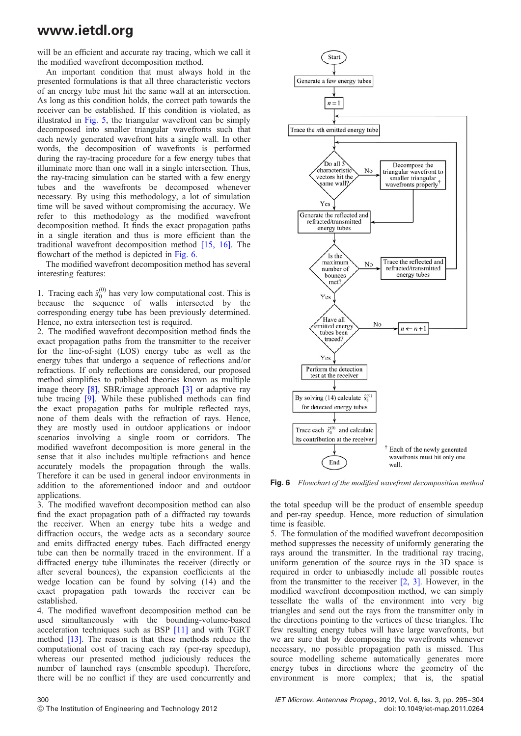will be an efficient and accurate ray tracing, which we call it the modified wavefront decomposition method.

An important condition that must always hold in the presented formulations is that all three characteristic vectors of an energy tube must hit the same wall at an intersection. As long as this condition holds, the correct path towards the receiver can be established. If this condition is violated, as illustrated in Fig. 5, the triangular wavefront can be simply decomposed into smaller triangular wavefronts such that each newly generated wavefront hits a single wall. In other words, the decomposition of wavefronts is performed during the ray-tracing procedure for a few energy tubes that illuminate more than one wall in a single intersection. Thus, the ray-tracing simulation can be started with a few energy tubes and the wavefronts be decomposed whenever necessary. By using this methodology, a lot of simulation time will be saved without compromising the accuracy. We refer to this methodology as the modified wavefront decomposition method. It finds the exact propagation paths in a single iteration and thus is more efficient than the traditional wavefront decomposition method [15, 16]. The flowchart of the method is depicted in Fig. 6.

The modified wavefront decomposition method has several interesting features:

1. Tracing each  $\hat{s}_0^{(0)}$  has very low computational cost. This is because the sequence of walls intersected by the corresponding energy tube has been previously determined. Hence, no extra intersection test is required.

2. The modified wavefront decomposition method finds the exact propagation paths from the transmitter to the receiver for the line-of-sight (LOS) energy tube as well as the energy tubes that undergo a sequence of reflections and/or refractions. If only reflections are considered, our proposed method simplifies to published theories known as multiple image theory [8], SBR/image approach [3] or adaptive ray tube tracing [9]. While these published methods can find the exact propagation paths for multiple reflected rays, none of them deals with the refraction of rays. Hence, they are mostly used in outdoor applications or indoor scenarios involving a single room or corridors. The modified wavefront decomposition is more general in the sense that it also includes multiple refractions and hence accurately models the propagation through the walls. Therefore it can be used in general indoor environments in addition to the aforementioned indoor and and outdoor applications.

3. The modified wavefront decomposition method can also find the exact propagation path of a diffracted ray towards the receiver. When an energy tube hits a wedge and diffraction occurs, the wedge acts as a secondary source and emits diffracted energy tubes. Each diffracted energy tube can then be normally traced in the environment. If a diffracted energy tube illuminates the receiver (directly or after several bounces), the expansion coefficients at the wedge location can be found by solving (14) and the exact propagation path towards the receiver can be established.

4. The modified wavefront decomposition method can be used simultaneously with the bounding-volume-based acceleration techniques such as BSP [11] and with TGRT method [13]. The reason is that these methods reduce the computational cost of tracing each ray (per-ray speedup), whereas our presented method judiciously reduces the number of launched rays (ensemble speedup). Therefore, there will be no conflict if they are used concurrently and



Fig. 6 Flowchart of the modified wavefront decomposition method

the total speedup will be the product of ensemble speedup and per-ray speedup. Hence, more reduction of simulation time is feasible.

5. The formulation of the modified wavefront decomposition method suppresses the necessity of uniformly generating the rays around the transmitter. In the traditional ray tracing, uniform generation of the source rays in the 3D space is required in order to unbiasedly include all possible routes from the transmitter to the receiver  $[2, 3]$ . However, in the modified wavefront decomposition method, we can simply tessellate the walls of the environment into very big triangles and send out the rays from the transmitter only in the directions pointing to the vertices of these triangles. The few resulting energy tubes will have large wavefronts, but we are sure that by decomposing the wavefronts whenever necessary, no possible propagation path is missed. This source modelling scheme automatically generates more energy tubes in directions where the geometry of the environment is more complex; that is, the spatial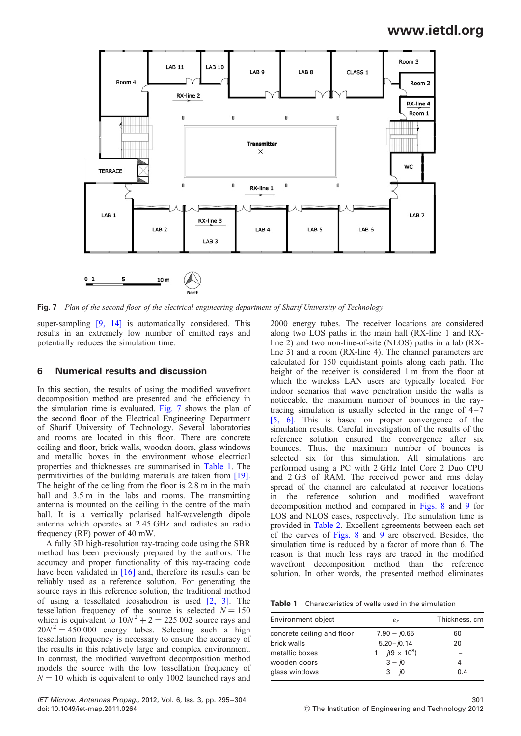

Fig. 7 Plan of the second floor of the electrical engineering department of Sharif University of Technology

super-sampling [9, 14] is automatically considered. This results in an extremely low number of emitted rays and potentially reduces the simulation time.

### 6 Numerical results and discussion

In this section, the results of using the modified wavefront decomposition method are presented and the efficiency in the simulation time is evaluated. Fig. 7 shows the plan of the second floor of the Electrical Engineering Department of Sharif University of Technology. Several laboratories and rooms are located in this floor. There are concrete ceiling and floor, brick walls, wooden doors, glass windows and metallic boxes in the environment whose electrical properties and thicknesses are summarised in Table 1. The permitivitties of the building materials are taken from [19]. The height of the ceiling from the floor is 2.8 m in the main hall and  $3.5 \text{ m}$  in the labs and rooms. The transmitting antenna is mounted on the ceiling in the centre of the main hall. It is a vertically polarised half-wavelength dipole antenna which operates at 2.45 GHz and radiates an radio frequency (RF) power of 40 mW.

A fully 3D high-resolution ray-tracing code using the SBR method has been previously prepared by the authors. The accuracy and proper functionality of this ray-tracing code have been validated in [16] and, therefore its results can be reliably used as a reference solution. For generating the source rays in this reference solution, the traditional method of using a tessellated icosahedron is used [2, 3]. The tessellation frequency of the source is selected  $N = 150$ which is equivalent to  $10N^2 + 2 = 225002$  source rays and  $20N^2 = 450\,000$  energy tubes. Selecting such a high tessellation frequency is necessary to ensure the accuracy of the results in this relatively large and complex environment. In contrast, the modified wavefront decomposition method models the source with the low tessellation frequency of  $N = 10$  which is equivalent to only 1002 launched rays and

2000 energy tubes. The receiver locations are considered along two LOS paths in the main hall (RX-line 1 and RXline 2) and two non-line-of-site (NLOS) paths in a lab (RXline 3) and a room (RX-line 4). The channel parameters are calculated for 150 equidistant points along each path. The height of the receiver is considered 1 m from the floor at which the wireless LAN users are typically located. For indoor scenarios that wave penetration inside the walls is noticeable, the maximum number of bounces in the raytracing simulation is usually selected in the range of  $4-7$ [5, 6]. This is based on proper convergence of the simulation results. Careful investigation of the results of the reference solution ensured the convergence after six bounces. Thus, the maximum number of bounces is selected six for this simulation. All simulations are performed using a PC with 2 GHz Intel Core 2 Duo CPU and 2 GB of RAM. The received power and rms delay spread of the channel are calculated at receiver locations in the reference solution and modified wavefront decomposition method and compared in Figs. 8 and 9 for LOS and NLOS cases, respectively. The simulation time is provided in Table 2. Excellent agreements between each set of the curves of Figs. 8 and 9 are observed. Besides, the simulation time is reduced by a factor of more than 6. The reason is that much less rays are traced in the modified wavefront decomposition method than the reference solution. In other words, the presented method eliminates

Table 1 Characteristics of walls used in the simulation

| Environment object         | $\varepsilon_r$        | Thickness, cm |
|----------------------------|------------------------|---------------|
| concrete ceiling and floor | $7.90 - 0.65$          | 60            |
| brick walls                | $5.20 - 0.14$          | 20            |
| metallic boxes             | $1 - i(9 \times 10^8)$ |               |
| wooden doors               | $3 - i0$               | 4             |
| glass windows              | $3 - j0$               | 0.4           |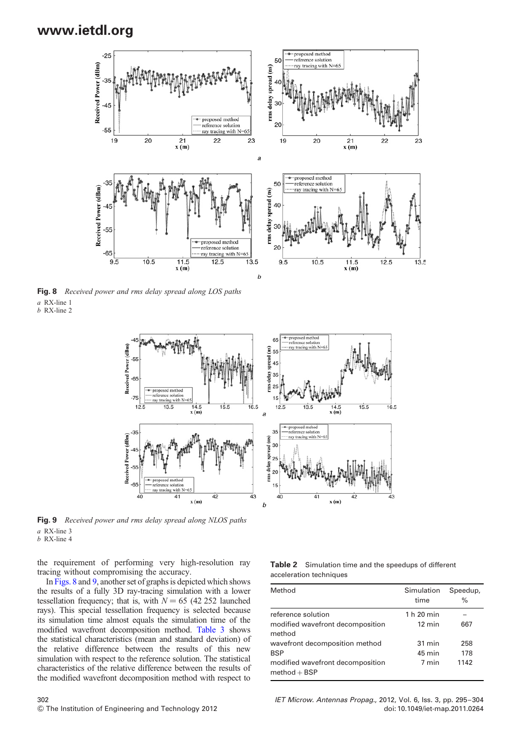

Fig. 8 Received power and rms delay spread along LOS paths a RX-line 1  $b$  RX-line 2



Fig. 9 Received power and rms delay spread along NLOS paths  $a$  RX-line 3 b RX-line 4

the requirement of performing very high-resolution ray tracing without compromising the accuracy.

In Figs. 8 and 9, another set of graphs is depicted which shows the results of a fully 3D ray-tracing simulation with a lower tessellation frequency; that is, with  $N = 65$  (42 252 launched rays). This special tessellation frequency is selected because its simulation time almost equals the simulation time of the modified wavefront decomposition method. Table 3 shows the statistical characteristics (mean and standard deviation) of the relative difference between the results of this new simulation with respect to the reference solution. The statistical characteristics of the relative difference between the results of the modified wavefront decomposition method with respect to

| Table 2 Simulation time and the speedups of different |
|-------------------------------------------------------|
| acceleration techniques                               |

| Method                                             | Simulation<br>time | Speedup,<br>% |
|----------------------------------------------------|--------------------|---------------|
| reference solution                                 | 1 h 20 min         |               |
| modified wavefront decomposition<br>method         | $12 \text{ min}$   | 667           |
| wavefront decomposition method                     | 31 min             | 258           |
| <b>BSP</b>                                         | 45 min             | 178           |
| modified wavefront decomposition<br>$method + BSP$ | 7 min              | 1142          |

302 IET Microw. Antennas Propag., 2012, Vol. 6, Iss. 3, pp. 295–304 & The Institution of Engineering and Technology 2012 doi: 10.1049/iet-map.2011.0264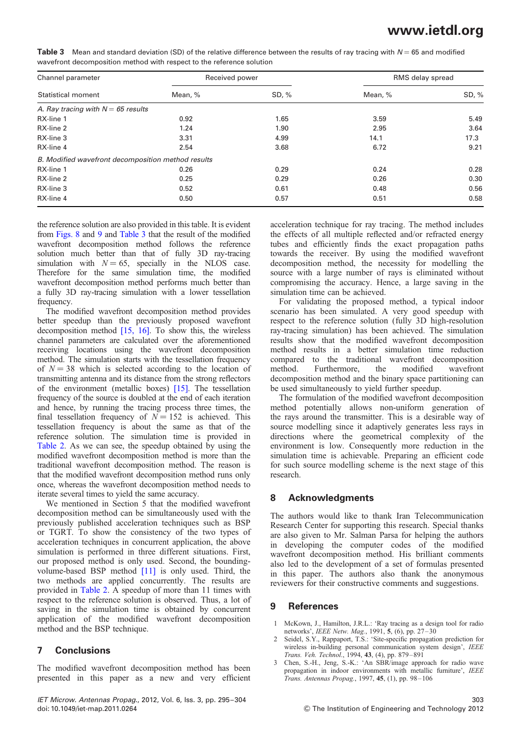Table 3 Mean and standard deviation (SD) of the relative difference between the results of ray tracing with  $N = 65$  and modified wavefront decomposition method with respect to the reference solution

| Channel parameter                                  | Received power |       | RMS delay spread |       |
|----------------------------------------------------|----------------|-------|------------------|-------|
| Statistical moment                                 | Mean, %        | SD, % | Mean, %          | SD, % |
| A. Ray tracing with $N = 65$ results               |                |       |                  |       |
| RX-line 1                                          | 0.92           | 1.65  | 3.59             | 5.49  |
| RX-line 2                                          | 1.24           | 1.90  | 2.95             | 3.64  |
| RX-line 3                                          | 3.31           | 4.99  | 14.1             | 17.3  |
| RX-line 4                                          | 2.54           | 3.68  | 6.72             | 9.21  |
| B. Modified wavefront decomposition method results |                |       |                  |       |
| RX-line 1                                          | 0.26           | 0.29  | 0.24             | 0.28  |
| RX-line 2                                          | 0.25           | 0.29  | 0.26             | 0.30  |
| RX-line 3                                          | 0.52           | 0.61  | 0.48             | 0.56  |
| RX-line 4                                          | 0.50           | 0.57  | 0.51             | 0.58  |

the reference solution are also provided in this table. It is evident from Figs. 8 and 9 and Table 3 that the result of the modified wavefront decomposition method follows the reference solution much better than that of fully 3D ray-tracing simulation with  $N = 65$ , specially in the NLOS case. Therefore for the same simulation time, the modified wavefront decomposition method performs much better than a fully 3D ray-tracing simulation with a lower tessellation frequency.

The modified wavefront decomposition method provides better speedup than the previously proposed wavefront decomposition method [15, 16]. To show this, the wireless channel parameters are calculated over the aforementioned receiving locations using the wavefront decomposition method. The simulation starts with the tessellation frequency of  $N = 38$  which is selected according to the location of transmitting antenna and its distance from the strong reflectors of the environment (metallic boxes) [15]. The tessellation frequency of the source is doubled at the end of each iteration and hence, by running the tracing process three times, the final tessellation frequency of  $N = 152$  is achieved. This tessellation frequency is about the same as that of the reference solution. The simulation time is provided in Table 2. As we can see, the speedup obtained by using the modified wavefront decomposition method is more than the traditional wavefront decomposition method. The reason is that the modified wavefront decomposition method runs only once, whereas the wavefront decomposition method needs to iterate several times to yield the same accuracy.

We mentioned in Section 5 that the modified wavefront decomposition method can be simultaneously used with the previously published acceleration techniques such as BSP or TGRT. To show the consistency of the two types of acceleration techniques in concurrent application, the above simulation is performed in three different situations. First, our proposed method is only used. Second, the boundingvolume-based BSP method [11] is only used. Third, the two methods are applied concurrently. The results are provided in Table 2. A speedup of more than 11 times with respect to the reference solution is observed. Thus, a lot of saving in the simulation time is obtained by concurrent application of the modified wavefront decomposition method and the BSP technique.

## 7 Conclusions

The modified wavefront decomposition method has been presented in this paper as a new and very efficient

IET Microw. Antennas Propag., 2012, Vol. 6, Iss. 3, pp. 295–304 303 303 doi: 10.1049/iet-map.2011.0264 & The Institution of Engineering and Technology 2012

acceleration technique for ray tracing. The method includes the effects of all multiple reflected and/or refracted energy tubes and efficiently finds the exact propagation paths towards the receiver. By using the modified wavefront decomposition method, the necessity for modelling the source with a large number of rays is eliminated without compromising the accuracy. Hence, a large saving in the simulation time can be achieved.

For validating the proposed method, a typical indoor scenario has been simulated. A very good speedup with respect to the reference solution (fully 3D high-resolution ray-tracing simulation) has been achieved. The simulation results show that the modified wavefront decomposition method results in a better simulation time reduction compared to the traditional wavefront decomposition method. Furthermore, the modified wavefront decomposition method and the binary space partitioning can be used simultaneously to yield further speedup.

The formulation of the modified wavefront decomposition method potentially allows non-uniform generation of the rays around the transmitter. This is a desirable way of source modelling since it adaptively generates less rays in directions where the geometrical complexity of the environment is low. Consequently more reduction in the simulation time is achievable. Preparing an efficient code for such source modelling scheme is the next stage of this research.

## 8 Acknowledgments

The authors would like to thank Iran Telecommunication Research Center for supporting this research. Special thanks are also given to Mr. Salman Parsa for helping the authors in developing the computer codes of the modified wavefront decomposition method. His brilliant comments also led to the development of a set of formulas presented in this paper. The authors also thank the anonymous reviewers for their constructive comments and suggestions.

## 9 References

- 1 McKown, J., Hamilton, J.R.L.: 'Ray tracing as a design tool for radio networks', IEEE Netw. Mag., 1991, 5, (6), pp. 27-30
- 2 Seidel, S.Y., Rappaport, T.S.: 'Site-specific propagation prediction for wireless in-building personal communication system design', IEEE Trans. Veh. Technol., 1994, 43, (4), pp. 879–891
- 3 Chen, S.-H., Jeng, S.-K.: 'An SBR/image approach for radio wave propagation in indoor environments with metallic furniture', IEEE Trans. Antennas Propag., 1997, 45, (1), pp. 98– 106